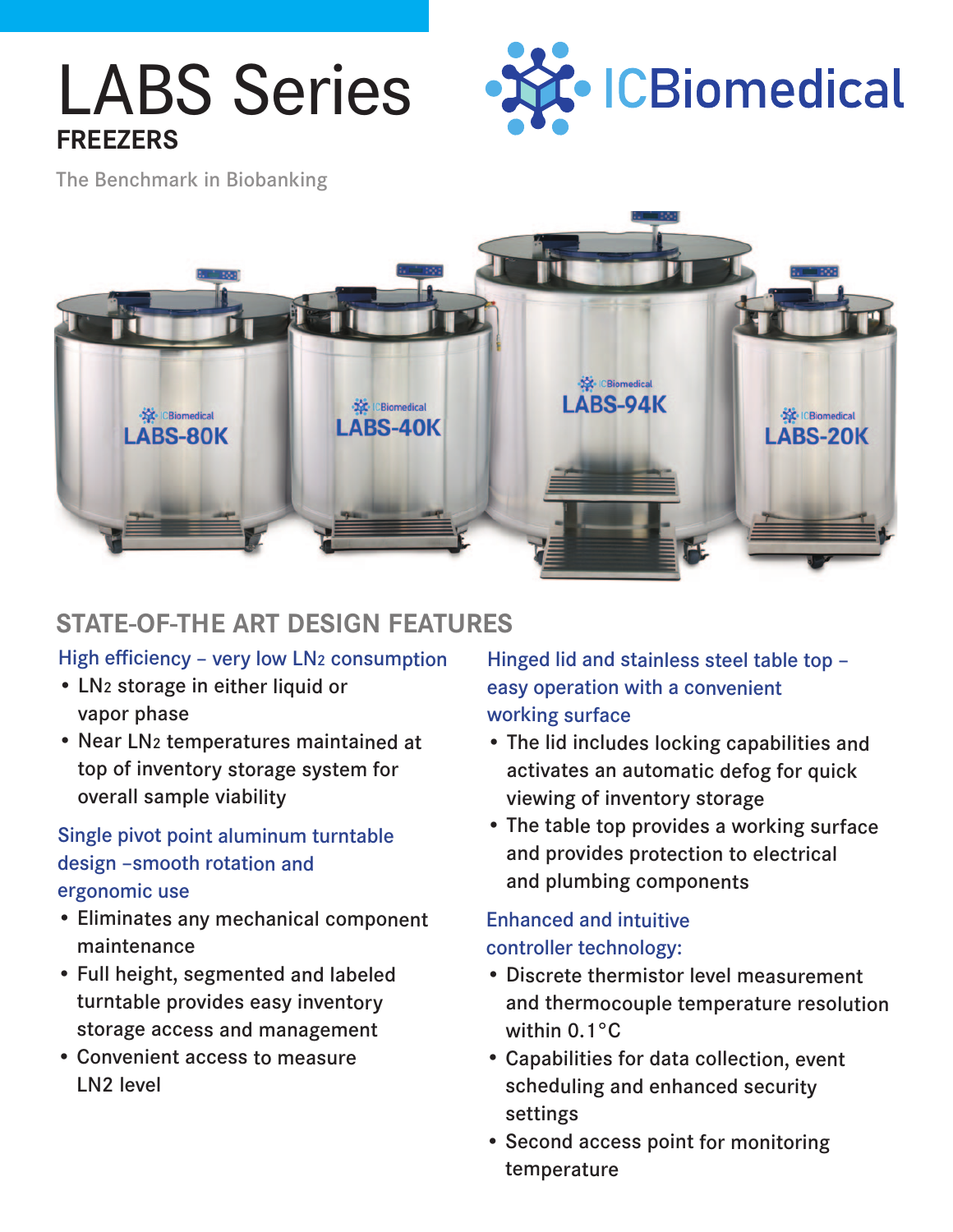## LABS Series **FREEZERS**



The Benchmark in Biobanking



### **STATE-OF-THE ART DESIGN FEATURES**

#### High efficiency – very low LN2 consumption

- LN2 storage in either liquid or vapor phase
- Near LN2 temperatures maintained at top of inventory storage system for overall sample viability

#### Single pivot point aluminum turntable design –smooth rotation and ergonomic use

- Eliminates any mechanical component maintenance
- Full height, segmented and labeled turntable provides easy inventory storage access and management
- Convenient access to measure LN2 level

Hinged lid and stainless steel table top – easy operation with a convenient working surface

- The lid includes locking capabilities and activates an automatic defog for quick viewing of inventory storage
- The table top provides a working surface and provides protection to electrical and plumbing components

#### Enhanced and intuitive controller technology:

- Discrete thermistor level measurement and thermocouple temperature resolution within 0.1°C
- Capabilities for data collection, event scheduling and enhanced security settings
- Second access point for monitoring temperature